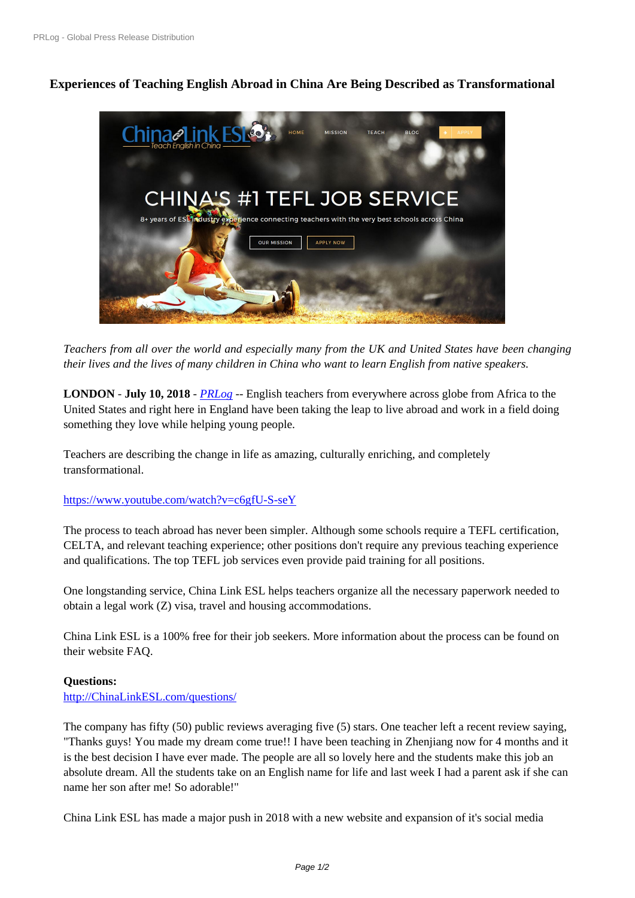# **[Experiences of Teaching E](https://www.prlog.org/)nglish Abroad in China Are Being Described as Transformational**



*Teache[rs from all over the world and especially many from the UK and United States have b](https://www.prlog.org/12717924-china-link-esl-teach-english-with-chinas-1-tefl-job-service.jpg)een changing their lives and the lives of many children in China who want to learn English from native speakers.*

**LONDON** - **July 10, 2018** - *PRLog* -- English teachers from everywhere across globe from Africa to the United States and right here in England have been taking the leap to live abroad and work in a field doing something they love while helping young people.

Teachers are describing the c[hange i](https://www.prlog.org)n life as amazing, culturally enriching, and completely transformational.

### https://www.youtube.com/watch?v=c6gfU-S-seY

The process to teach abroad has never been simpler. Although some schools require a TEFL certification, CELTA, and relevant teaching experience; other positions don't require any previous teaching experience [and qualifications. The top TEFL job services eve](https://www.youtube.com/watch?v=c6gfU-S-seY)n provide paid training for all positions.

One longstanding service, China Link ESL helps teachers organize all the necessary paperwork needed to obtain a legal work (Z) visa, travel and housing accommodations.

China Link ESL is a 100% free for their job seekers. More information about the process can be found on their website FAQ.

### **Questions:**

http://ChinaLinkESL.com/questions/

The company has fifty (50) public reviews averaging five (5) stars. One teacher left a recent review saying, "Thanks guys! You made my dream come true!! I have been teaching in Zhenjiang now for 4 months and it [is the best decision I have ever made.](http://chinalinkesl.com/questions/) The people are all so lovely here and the students make this job an absolute dream. All the students take on an English name for life and last week I had a parent ask if she can name her son after me! So adorable!"

China Link ESL has made a major push in 2018 with a new website and expansion of it's social media